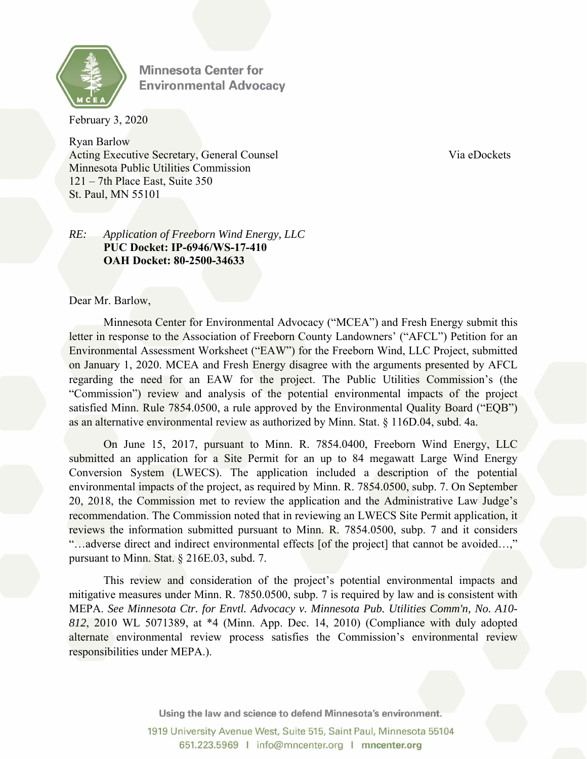

**Minnesota Center for Environmental Advocacy** 

February 3, 2020

Ryan Barlow Acting Executive Secretary, General Counsel Via eDockets Via eDockets Minnesota Public Utilities Commission 121 – 7th Place East, Suite 350 St. Paul, MN 55101

## *RE: Application of Freeborn Wind Energy, LLC*  **PUC Docket: IP-6946/WS-17-410 OAH Docket: 80-2500-34633**

Dear Mr. Barlow,

Minnesota Center for Environmental Advocacy ("MCEA") and Fresh Energy submit this letter in response to the Association of Freeborn County Landowners' ("AFCL") Petition for an Environmental Assessment Worksheet ("EAW") for the Freeborn Wind, LLC Project, submitted on January 1, 2020. MCEA and Fresh Energy disagree with the arguments presented by AFCL regarding the need for an EAW for the project. The Public Utilities Commission's (the "Commission") review and analysis of the potential environmental impacts of the project satisfied Minn. Rule 7854.0500, a rule approved by the Environmental Quality Board ("EQB") as an alternative environmental review as authorized by Minn. Stat. § 116D.04, subd. 4a.

On June 15, 2017, pursuant to Minn. R. 7854.0400, Freeborn Wind Energy, LLC submitted an application for a Site Permit for an up to 84 megawatt Large Wind Energy Conversion System (LWECS). The application included a description of the potential environmental impacts of the project, as required by Minn. R. 7854.0500, subp. 7. On September 20, 2018, the Commission met to review the application and the Administrative Law Judge's recommendation. The Commission noted that in reviewing an LWECS Site Permit application, it reviews the information submitted pursuant to Minn. R. 7854.0500, subp. 7 and it considers "...adverse direct and indirect environmental effects [of the project] that cannot be avoided...," pursuant to Minn. Stat. § 216E.03, subd. 7.

This review and consideration of the project's potential environmental impacts and mitigative measures under Minn. R. 7850.0500, subp. 7 is required by law and is consistent with MEPA. *See Minnesota Ctr. for Envtl. Advocacy v. Minnesota Pub. Utilities Comm'n, No. A10- 812*, 2010 WL 5071389, at \*4 (Minn. App. Dec. 14, 2010) (Compliance with duly adopted alternate environmental review process satisfies the Commission's environmental review responsibilities under MEPA.).

Using the law and science to defend Minnesota's environment.

1919 University Avenue West, Suite 515, Saint Paul, Minnesota 55104 651.223.5969 | info@mncenter.org | mncenter.org